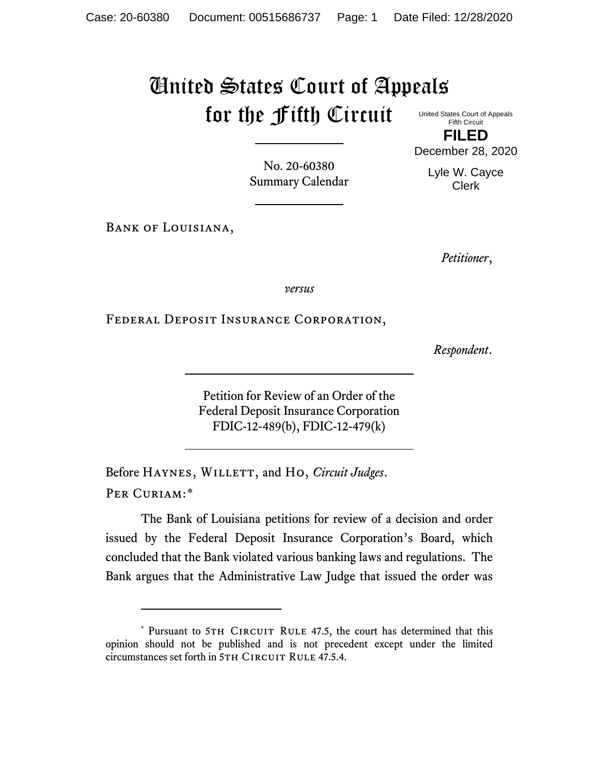## United States Court of Appeals for the Fifth Circuit

United States Court of Appeals Fifth Circuit

**FILED** December 28, 2020

> Lyle W. Cayce Clerk

No. 20-60380 Summary Calendar

Bank of Louisiana,

*Petitioner*,

*versus*

Federal Deposit Insurance Corporation,

*Respondent*.

Petition for Review of an Order of the Federal Deposit Insurance Corporation FDIC-12-489(b), FDIC-12-479(k)

Before HAYNES, WILLETT, and Ho, *Circuit Judges*. Per Curiam:[\\*](#page-0-0)

The Bank of Louisiana petitions for review of a decision and order issued by the Federal Deposit Insurance Corporation's Board, which concluded that the Bank violated various banking laws and regulations. The Bank argues that the Administrative Law Judge that issued the order was

<span id="page-0-0"></span><sup>\*</sup> Pursuant to 5TH CIRCUIT RULE 47.5, the court has determined that this opinion should not be published and is not precedent except under the limited circumstances set forth in 5TH CIRCUIT RULE 47.5.4.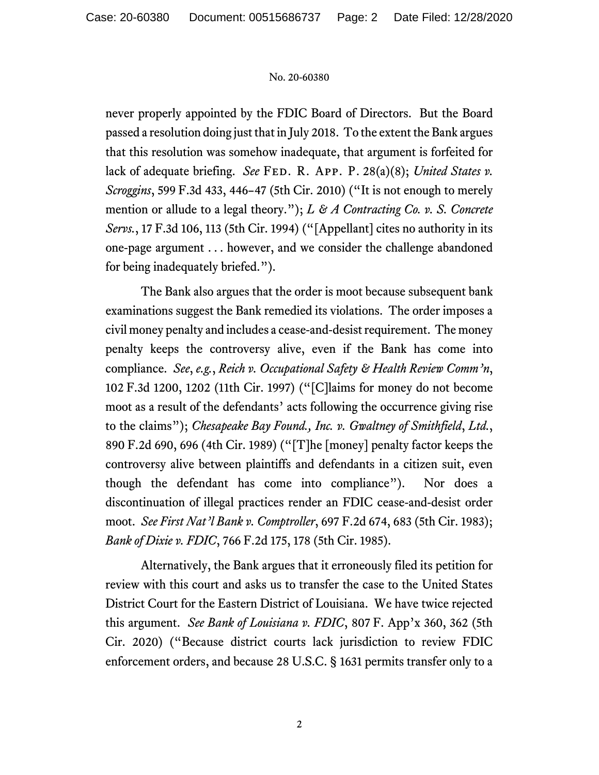## No. 20-60380

never properly appointed by the FDIC Board of Directors. But the Board passed a resolution doing just that in July 2018. To the extent the Bank argues that this resolution was somehow inadequate, that argument is forfeited for lack of adequate briefing. *See* FED. R. APP. P. 28(a)(8); *United States v. Scroggins*, 599 F.3d 433, 446–47 (5th Cir. 2010) ("It is not enough to merely mention or allude to a legal theory."); *L & A Contracting Co. v. S. Concrete Servs.*, 17 F.3d 106, 113 (5th Cir. 1994) ("[Appellant] cites no authority in its one-page argument . . . however, and we consider the challenge abandoned for being inadequately briefed.").

The Bank also argues that the order is moot because subsequent bank examinations suggest the Bank remedied its violations. The order imposes a civil money penalty and includes a cease-and-desist requirement. The money penalty keeps the controversy alive, even if the Bank has come into compliance. *See*, *e.g.*, *Reich v. Occupational Safety & Health Review Comm'n*, 102 F.3d 1200, 1202 (11th Cir. 1997) ("[C]laims for money do not become moot as a result of the defendants' acts following the occurrence giving rise to the claims"); *Chesapeake Bay Found., Inc. v. Gwaltney of Smithfield*, *Ltd.*, 890 F.2d 690, 696 (4th Cir. 1989) ("[T]he [money] penalty factor keeps the controversy alive between plaintiffs and defendants in a citizen suit, even though the defendant has come into compliance"). Nor does a discontinuation of illegal practices render an FDIC cease-and-desist order moot. *See First Nat'l Bank v. Comptroller*, 697 F.2d 674, 683 (5th Cir. 1983); *Bank of Dixie v. FDIC*, 766 F.2d 175, 178 (5th Cir. 1985).

Alternatively, the Bank argues that it erroneously filed its petition for review with this court and asks us to transfer the case to the United States District Court for the Eastern District of Louisiana. We have twice rejected this argument. *See Bank of Louisiana v. FDIC*, 807 F. App'x 360, 362 (5th Cir. 2020) ("Because district courts lack jurisdiction to review FDIC enforcement orders, and because 28 U.S.C. § 1631 permits transfer only to a